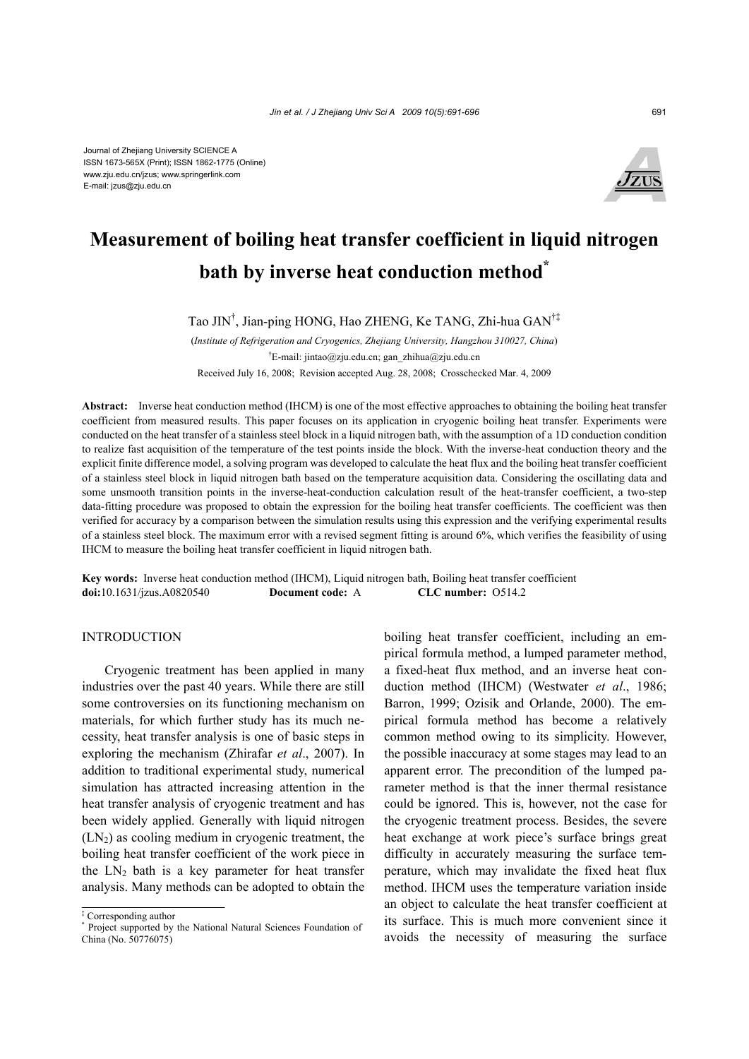

# **Measurement of boiling heat transfer coefficient in liquid nitrogen bath by inverse heat conduction method\***

Tao JIN† , Jian-ping HONG, Hao ZHENG, Ke TANG, Zhi-hua GAN†‡

(*Institute of Refrigeration and Cryogenics, Zhejiang University, Hangzhou 310027, China*) † E-mail: jintao@zju.edu.cn; gan\_zhihua@zju.edu.cn Received July 16, 2008; Revision accepted Aug. 28, 2008; Crosschecked Mar. 4, 2009

**Abstract:** Inverse heat conduction method (IHCM) is one of the most effective approaches to obtaining the boiling heat transfer coefficient from measured results. This paper focuses on its application in cryogenic boiling heat transfer. Experiments were conducted on the heat transfer of a stainless steel block in a liquid nitrogen bath, with the assumption of a 1D conduction condition to realize fast acquisition of the temperature of the test points inside the block. With the inverse-heat conduction theory and the explicit finite difference model, a solving program was developed to calculate the heat flux and the boiling heat transfer coefficient of a stainless steel block in liquid nitrogen bath based on the temperature acquisition data. Considering the oscillating data and some unsmooth transition points in the inverse-heat-conduction calculation result of the heat-transfer coefficient, a two-step data-fitting procedure was proposed to obtain the expression for the boiling heat transfer coefficients. The coefficient was then verified for accuracy by a comparison between the simulation results using this expression and the verifying experimental results of a stainless steel block. The maximum error with a revised segment fitting is around 6%, which verifies the feasibility of using IHCM to measure the boiling heat transfer coefficient in liquid nitrogen bath.

**Key words:** Inverse heat conduction method (IHCM), Liquid nitrogen bath, Boiling heat transfer coefficient **doi:**10.1631/jzus.A0820540 **Document code:** A **CLC number:** O514.2

#### INTRODUCTION

Cryogenic treatment has been applied in many industries over the past 40 years. While there are still some controversies on its functioning mechanism on materials, for which further study has its much necessity, heat transfer analysis is one of basic steps in exploring the mechanism (Zhirafar *et al*., 2007). In addition to traditional experimental study, numerical simulation has attracted increasing attention in the heat transfer analysis of cryogenic treatment and has been widely applied. Generally with liquid nitrogen  $(LN<sub>2</sub>)$  as cooling medium in cryogenic treatment, the boiling heat transfer coefficient of the work piece in the  $LN_2$  bath is a key parameter for heat transfer analysis. Many methods can be adopted to obtain the boiling heat transfer coefficient, including an empirical formula method, a lumped parameter method, a fixed-heat flux method, and an inverse heat conduction method (IHCM) (Westwater *et al*., 1986; Barron, 1999; Ozisik and Orlande, 2000). The empirical formula method has become a relatively common method owing to its simplicity. However, the possible inaccuracy at some stages may lead to an apparent error. The precondition of the lumped parameter method is that the inner thermal resistance could be ignored. This is, however, not the case for the cryogenic treatment process. Besides, the severe heat exchange at work piece's surface brings great difficulty in accurately measuring the surface temperature, which may invalidate the fixed heat flux method. IHCM uses the temperature variation inside an object to calculate the heat transfer coefficient at its surface. This is much more convenient since it avoids the necessity of measuring the surface

<sup>‡</sup> Corresponding author

<sup>\*</sup> Project supported by the National Natural Sciences Foundation of China (No. 50776075)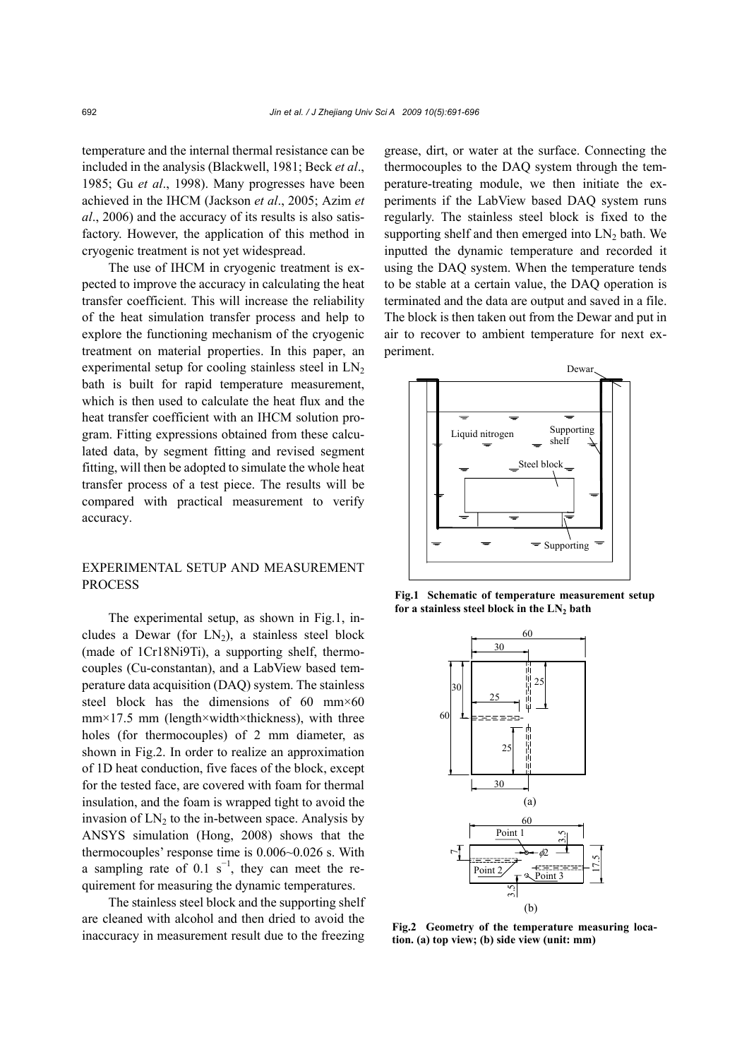temperature and the internal thermal resistance can be included in the analysis (Blackwell, 1981; Beck *et al*., 1985; Gu *et al*., 1998). Many progresses have been achieved in the IHCM (Jackson *et al*., 2005; Azim *et al*., 2006) and the accuracy of its results is also satisfactory. However, the application of this method in cryogenic treatment is not yet widespread.

The use of IHCM in cryogenic treatment is expected to improve the accuracy in calculating the heat transfer coefficient. This will increase the reliability of the heat simulation transfer process and help to explore the functioning mechanism of the cryogenic treatment on material properties. In this paper, an experimental setup for cooling stainless steel in  $LN<sub>2</sub>$ bath is built for rapid temperature measurement, which is then used to calculate the heat flux and the heat transfer coefficient with an IHCM solution program. Fitting expressions obtained from these calculated data, by segment fitting and revised segment fitting, will then be adopted to simulate the whole heat transfer process of a test piece. The results will be compared with practical measurement to verify accuracy.

## EXPERIMENTAL SETUP AND MEASUREMENT PROCESS

The experimental setup, as shown in Fig.1, includes a Dewar (for  $LN_2$ ), a stainless steel block (made of 1Cr18Ni9Ti), a supporting shelf, thermocouples (Cu-constantan), and a LabView based temperature data acquisition (DAQ) system. The stainless steel block has the dimensions of 60 mm $\times$ 60 mm×17.5 mm (length×width×thickness), with three holes (for thermocouples) of 2 mm diameter, as shown in Fig.2. In order to realize an approximation of 1D heat conduction, five faces of the block, except for the tested face, are covered with foam for thermal insulation, and the foam is wrapped tight to avoid the invasion of  $LN<sub>2</sub>$  to the in-between space. Analysis by ANSYS simulation (Hong, 2008) shows that the thermocouples' response time is 0.006~0.026 s. With a sampling rate of 0.1  $s^{-1}$ , they can meet the requirement for measuring the dynamic temperatures.

The stainless steel block and the supporting shelf are cleaned with alcohol and then dried to avoid the inaccuracy in measurement result due to the freezing grease, dirt, or water at the surface. Connecting the thermocouples to the DAQ system through the temperature-treating module, we then initiate the experiments if the LabView based DAQ system runs regularly. The stainless steel block is fixed to the supporting shelf and then emerged into  $LN_2$  bath. We inputted the dynamic temperature and recorded it using the DAQ system. When the temperature tends to be stable at a certain value, the DAQ operation is terminated and the data are output and saved in a file. The block is then taken out from the Dewar and put in air to recover to ambient temperature for next experiment.



**Fig.1 Schematic of temperature measurement setup**  for a stainless steel block in the LN<sub>2</sub> bath



**Fig.2 Geometry of the temperature measuring location. (a) top view; (b) side view (unit: mm)**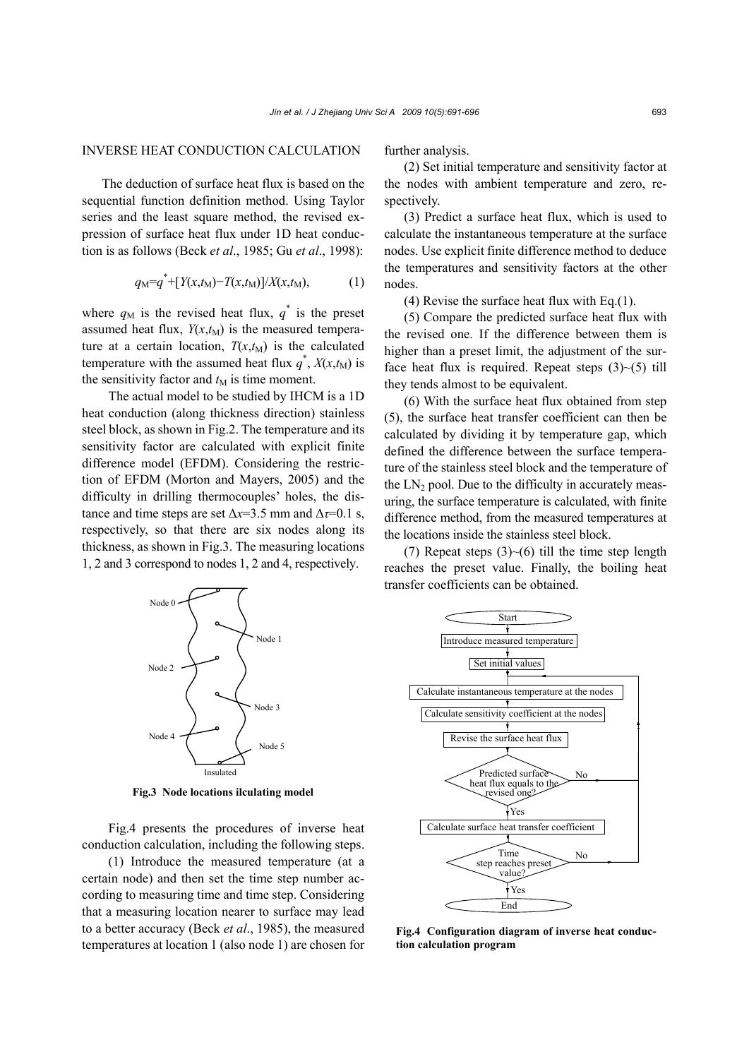### INVERSE HEAT CONDUCTION CALCULATION

The deduction of surface heat flux is based on the sequential function definition method. Using Taylor series and the least square method, the revised expression of surface heat flux under 1D heat conduction is as follows (Beck *et al*., 1985; Gu *et al*., 1998):

$$
q_M = q^* + [Y(x, t_M) - T(x, t_M)] / X(x, t_M), \tag{1}
$$

where  $q_M$  is the revised heat flux,  $q^*$  is the preset assumed heat flux,  $Y(x,t_M)$  is the measured temperature at a certain location,  $T(x,t_M)$  is the calculated temperature with the assumed heat flux  $q^*$ ,  $X(x,t_M)$  is the sensitivity factor and  $t_M$  is time moment.

The actual model to be studied by IHCM is a 1D heat conduction (along thickness direction) stainless steel block, as shown in Fig.2. The temperature and its sensitivity factor are calculated with explicit finite difference model (EFDM). Considering the restriction of EFDM (Morton and Mayers, 2005) and the difficulty in drilling thermocouples' holes, the distance and time steps are set  $\Delta x=3.5$  mm and  $\Delta \tau=0.1$  s, respectively, so that there are six nodes along its thickness, as shown in Fig.3. The measuring locations 1, 2 and 3 correspond to nodes 1, 2 and 4, respectively.

further analysis.

(2) Set initial temperature and sensitivity factor at the nodes with ambient temperature and zero, respectively.

(3) Predict a surface heat flux, which is used to calculate the instantaneous temperature at the surface nodes. Use explicit finite difference method to deduce the temperatures and sensitivity factors at the other nodes.

(4) Revise the surface heat flux with Eq.(1).

(5) Compare the predicted surface heat flux with the revised one. If the difference between them is higher than a preset limit, the adjustment of the surface heat flux is required. Repeat steps  $(3)$   $\sim$   $(5)$  till they tends almost to be equivalent.

(6) With the surface heat flux obtained from step (5), the surface heat transfer coefficient can then be calculated by dividing it by temperature gap, which defined the difference between the surface temperature of the stainless steel block and the temperature of the  $LN_2$  pool. Due to the difficulty in accurately measuring, the surface temperature is calculated, with finite difference method, from the measured temperatures at the locations inside the stainless steel block.

(7) Repeat steps  $(3)$   $\sim$  (6) till the time step length reaches the preset value. Finally, the boiling heat transfer coefficients can be obtained.



**Fig.3 Node locations ilculating model**

Fig.4 presents the procedures of inverse heat conduction calculation, including the following steps.

(1) Introduce the measured temperature (at a certain node) and then set the time step number according to measuring time and time step. Considering that a measuring location nearer to surface may lead to a better accuracy (Beck *et al*., 1985), the measured temperatures at location 1 (also node 1) are chosen for



**Fig.4 Configuration diagram of inverse heat conduction calculation program**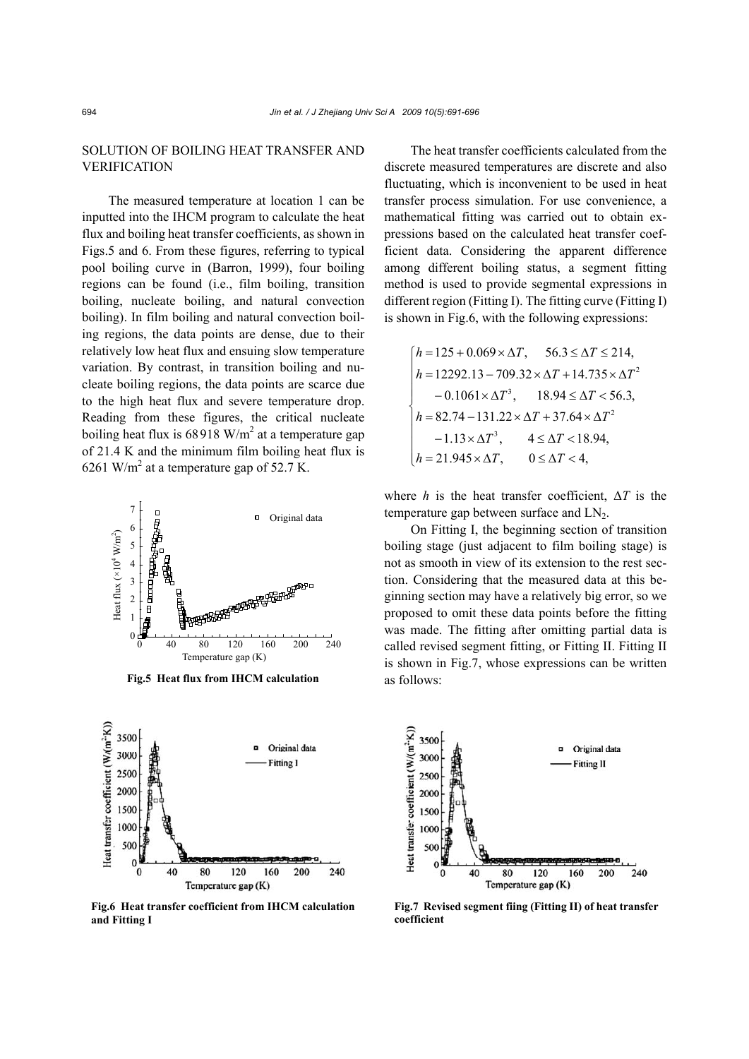# SOLUTION OF BOILING HEAT TRANSFER AND VERIFICATION

The measured temperature at location 1 can be inputted into the IHCM program to calculate the heat flux and boiling heat transfer coefficients, as shown in Figs.5 and 6. From these figures, referring to typical pool boiling curve in (Barron, 1999), four boiling regions can be found (i.e., film boiling, transition boiling, nucleate boiling, and natural convection boiling). In film boiling and natural convection boiling regions, the data points are dense, due to their relatively low heat flux and ensuing slow temperature variation. By contrast, in transition boiling and nucleate boiling regions, the data points are scarce due to the high heat flux and severe temperature drop. Reading from these figures, the critical nucleate boiling heat flux is  $68918$  W/m<sup>2</sup> at a temperature gap of 21.4 K and the minimum film boiling heat flux is 6261 W/m<sup>2</sup> at a temperature gap of 52.7 K.



**Fig.5 Heat flux from IHCM calculation** as follows:



**Fig.6 Heat transfer coefficient from IHCM calculation and Fitting I** 

The heat transfer coefficients calculated from the discrete measured temperatures are discrete and also fluctuating, which is inconvenient to be used in heat transfer process simulation. For use convenience, a mathematical fitting was carried out to obtain expressions based on the calculated heat transfer coefficient data. Considering the apparent difference among different boiling status, a segment fitting method is used to provide segmental expressions in different region (Fitting I). The fitting curve (Fitting I) is shown in Fig.6, with the following expressions:

$$
\begin{cases}\nh = 125 + 0.069 \times \Delta T, & 56.3 \le \Delta T \le 214, \\
h = 12292.13 - 709.32 \times \Delta T + 14.735 \times \Delta T^2 \\
- 0.1061 \times \Delta T^3, & 18.94 \le \Delta T < 56.3, \\
h = 82.74 - 131.22 \times \Delta T + 37.64 \times \Delta T^2 \\
- 1.13 \times \Delta T^3, & 4 \le \Delta T < 18.94, \\
h = 21.945 \times \Delta T, & 0 \le \Delta T < 4,\n\end{cases}
$$

where *h* is the heat transfer coefficient,  $\Delta T$  is the temperature gap between surface and  $LN<sub>2</sub>$ .

On Fitting I, the beginning section of transition boiling stage (just adjacent to film boiling stage) is not as smooth in view of its extension to the rest section. Considering that the measured data at this beginning section may have a relatively big error, so we proposed to omit these data points before the fitting was made. The fitting after omitting partial data is called revised segment fitting, or Fitting II. Fitting II is shown in Fig.7, whose expressions can be written



**Fig.7 Revised segment fiing (Fitting II) of heat transfer coefficient**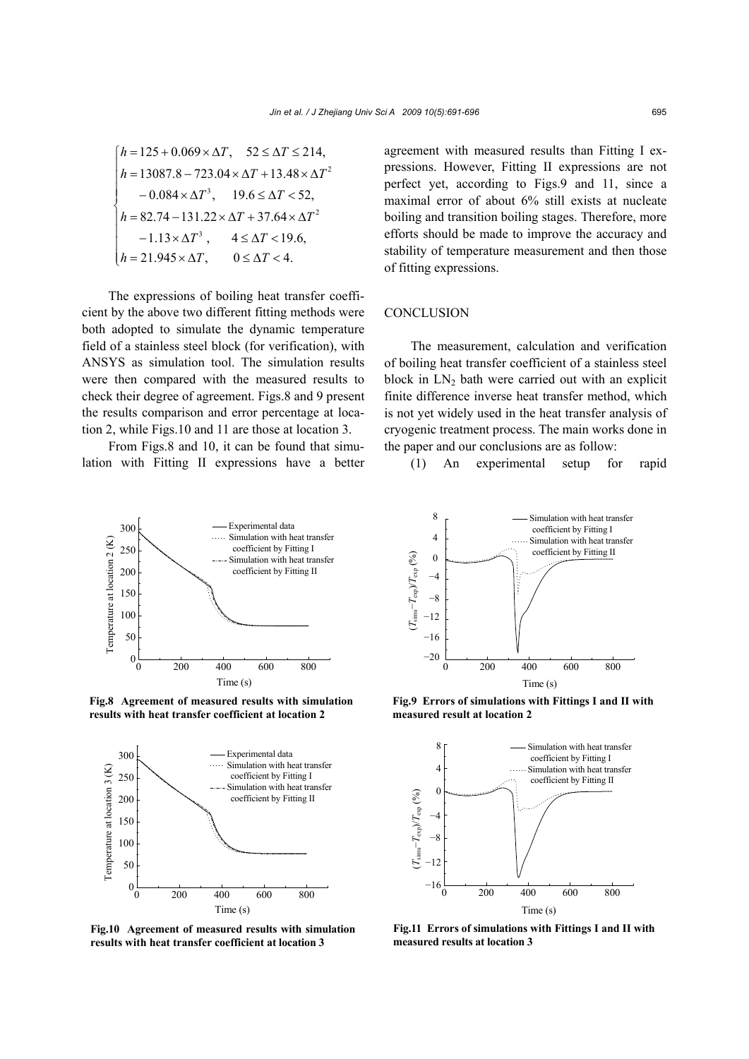$$
\begin{cases}\nh = 125 + 0.069 \times \Delta T, & 52 \le \Delta T \le 214, \\
h = 13087.8 - 723.04 \times \Delta T + 13.48 \times \Delta T^2 \\
- 0.084 \times \Delta T^3, & 19.6 \le \Delta T < 52, \\
h = 82.74 - 131.22 \times \Delta T + 37.64 \times \Delta T^2 \\
- 1.13 \times \Delta T^3, & 4 \le \Delta T < 19.6, \\
h = 21.945 \times \Delta T, & 0 \le \Delta T < 4.\n\end{cases}
$$

The expressions of boiling heat transfer coefficient by the above two different fitting methods were both adopted to simulate the dynamic temperature field of a stainless steel block (for verification), with ANSYS as simulation tool. The simulation results were then compared with the measured results to check their degree of agreement. Figs.8 and 9 present the results comparison and error percentage at location 2, while Figs.10 and 11 are those at location 3.

From Figs.8 and 10, it can be found that simulation with Fitting II expressions have a better agreement with measured results than Fitting I expressions. However, Fitting II expressions are not perfect yet, according to Figs.9 and 11, since a maximal error of about 6% still exists at nucleate boiling and transition boiling stages. Therefore, more efforts should be made to improve the accuracy and stability of temperature measurement and then those of fitting expressions.

# **CONCLUSION**

The measurement, calculation and verification of boiling heat transfer coefficient of a stainless steel block in  $LN<sub>2</sub>$  bath were carried out with an explicit finite difference inverse heat transfer method, which is not yet widely used in the heat transfer analysis of cryogenic treatment process. The main works done in the paper and our conclusions are as follow:





**Fig.8 Agreement of measured results with simulation results with heat transfer coefficient at location 2** 



**Fig.10 Agreement of measured results with simulation results with heat transfer coefficient at location 3** 



**Fig.9 Errors of simulations with Fittings I and II with measured result at location 2** 



**Fig.11 Errors of simulations with Fittings I and II with measured results at location 3**